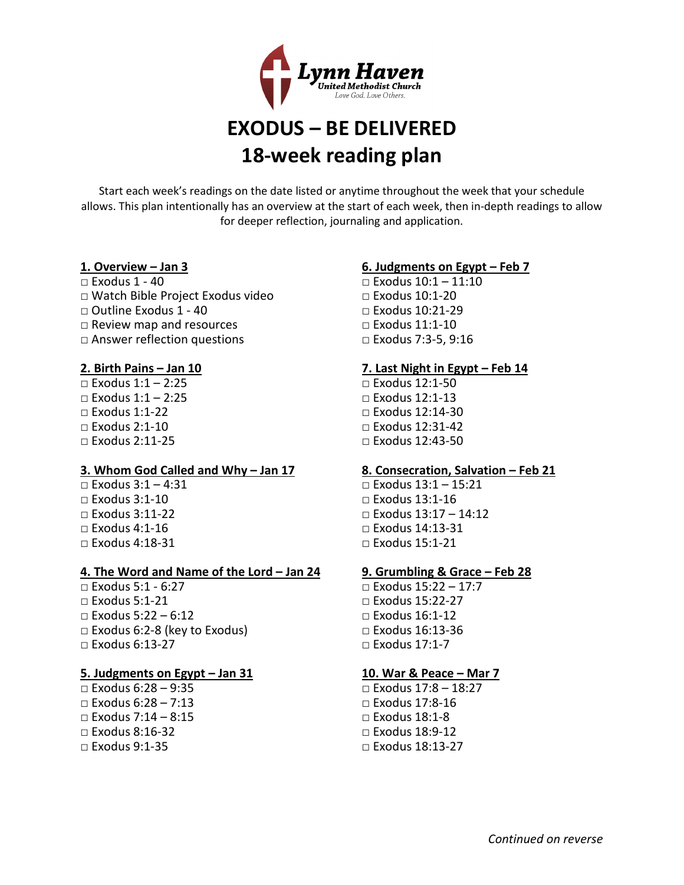

# **EXODUS – BE DELIVERED 18-week reading plan**

Start each week's readings on the date listed or anytime throughout the week that your schedule allows. This plan intentionally has an overview at the start of each week, then in-depth readings to allow for deeper reflection, journaling and application.

# **1. Overview – Jan 3**

- □ Exodus 1 40
- □ Watch Bible Project Exodus video
- □ Outline Exodus 1 40
- □ Review map and resources
- □ Answer reflection questions

# **2. Birth Pains – Jan 10**

 $\Box$  Exodus 1:1 - 2:25  $\Box$  Exodus 1:1 – 2:25 □ Exodus 1:1-22  $\square$  Exodus 2:1-10 □ Exodus 2:11-25

## **3. Whom God Called and Why – Jan 17**

□ Exodus 3:1 – 4:31  $\Box$  Exodus 3:1-10 □ Exodus 3:11-22  $\Box$  Exodus 4:1-16  $\Box$  Exodus 4:18-31

## **4. The Word and Name of the Lord – Jan 24**

□ Exodus 5:1 - 6:27  $\Box$  Exodus 5:1-21 □ Exodus 5:22 – 6:12  $\Box$  Exodus 6:2-8 (key to Exodus) □ Exodus 6:13-27

## **5. Judgments on Egypt – Jan 31**

□ Exodus 6:28 – 9:35 □ Exodus 6:28 – 7:13  $\Box$  Exodus 7:14 – 8:15  $\Box$  Exodus 8:16-32  $\Box$  Exodus 9:1-35

# **6. Judgments on Egypt – Feb 7**

□ Exodus 10:1 – 11:10 □ Exodus 10:1-20  $\Box$  Exodus 10:21-29 □ Exodus 11:1-10 □ Exodus 7:3-5, 9:16

# **7. Last Night in Egypt – Feb 14**

□ Exodus 12:1-50 □ Exodus 12:1-13 □ Exodus 12:14-30 □ Exodus 12:31-42 □ Exodus 12:43-50

## **8. Consecration, Salvation – Feb 21**

□ Exodus 13:1 – 15:21 □ Exodus 13:1-16 □ Exodus  $13:17 - 14:12$ □ Exodus 14:13-31  $\Box$  Exodus 15:1-21

## **9. Grumbling & Grace – Feb 28**

□ Exodus 15:22 – 17:7 □ Exodus 15:22-27 □ Exodus 16:1-12 □ Exodus 16:13-36 □ Exodus 17:1-7

## **10. War & Peace – Mar 7**

□ Exodus 17:8 – 18:27 □ Exodus 17:8-16  $\Box$  Exodus 18:1-8 □ Exodus 18:9-12  $\Box$  Exodus 18:13-27